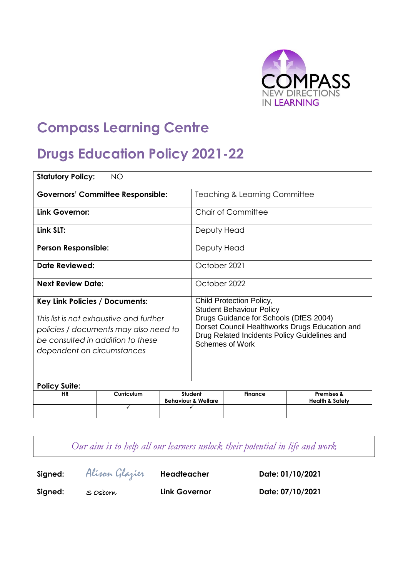

# **Compass Learning Centre**

# **Drugs Education Policy 2021-22**

| <b>Statutory Policy:</b>                                                                                                                                                                     | <b>NO</b>                                |  |                                                                                                                                                                                                                                   |                                          |                                                     |  |
|----------------------------------------------------------------------------------------------------------------------------------------------------------------------------------------------|------------------------------------------|--|-----------------------------------------------------------------------------------------------------------------------------------------------------------------------------------------------------------------------------------|------------------------------------------|-----------------------------------------------------|--|
|                                                                                                                                                                                              | <b>Governors' Committee Responsible:</b> |  |                                                                                                                                                                                                                                   | <b>Teaching &amp; Learning Committee</b> |                                                     |  |
| Link Governor:                                                                                                                                                                               |                                          |  |                                                                                                                                                                                                                                   | Chair of Committee                       |                                                     |  |
| Link SLT:                                                                                                                                                                                    |                                          |  | Deputy Head                                                                                                                                                                                                                       |                                          |                                                     |  |
| <b>Person Responsible:</b>                                                                                                                                                                   |                                          |  | Deputy Head                                                                                                                                                                                                                       |                                          |                                                     |  |
| Date Reviewed:                                                                                                                                                                               |                                          |  | October 2021                                                                                                                                                                                                                      |                                          |                                                     |  |
|                                                                                                                                                                                              | <b>Next Review Date:</b>                 |  |                                                                                                                                                                                                                                   | October 2022                             |                                                     |  |
| <b>Key Link Policies / Documents:</b><br>This list is not exhaustive and further<br>policies / documents may also need to<br>be consulted in addition to these<br>dependent on circumstances |                                          |  | Child Protection Policy,<br><b>Student Behaviour Policy</b><br>Drugs Guidance for Schools (DfES 2004)<br>Dorset Council Healthworks Drugs Education and<br>Drug Related Incidents Policy Guidelines and<br><b>Schemes of Work</b> |                                          |                                                     |  |
| <b>Policy Suite:</b>                                                                                                                                                                         |                                          |  |                                                                                                                                                                                                                                   |                                          |                                                     |  |
| <b>HR</b>                                                                                                                                                                                    | Curriculum<br>✓                          |  | Student<br><b>Behaviour &amp; Welfare</b>                                                                                                                                                                                         | <b>Finance</b>                           | <b>Premises &amp;</b><br><b>Health &amp; Safety</b> |  |
|                                                                                                                                                                                              |                                          |  |                                                                                                                                                                                                                                   |                                          |                                                     |  |

*Our aim is to help all our learners unlock their potential in life and work*

**Signed:** Alison Glazier **Headteacher Date: 01/10/2021**

**Signed:** S Osborn **Link Governor Date: 07/10/2021**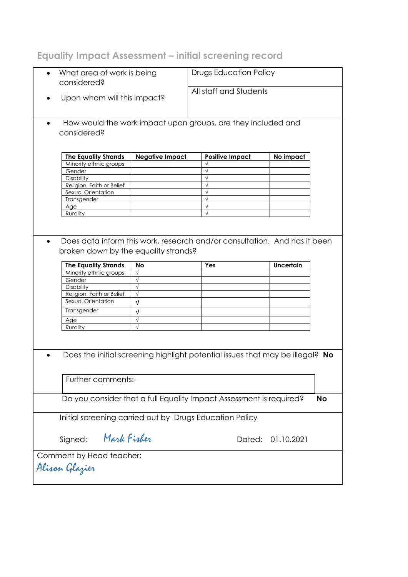# **Equality Impact Assessment – initial screening record**

| considered?                                             | What area of work is being | <b>Drugs Education Policy</b><br>All staff and Students                       |                  |  |
|---------------------------------------------------------|----------------------------|-------------------------------------------------------------------------------|------------------|--|
| Upon whom will this impact?<br>$\bullet$                |                            |                                                                               |                  |  |
| $\bullet$<br>considered?                                |                            | How would the work impact upon groups, are they included and                  |                  |  |
| <b>The Equality Strands</b>                             | <b>Negative Impact</b>     | <b>Positive Impact</b>                                                        | No impact        |  |
| Minority ethnic groups                                  |                            |                                                                               |                  |  |
| Gender                                                  |                            |                                                                               |                  |  |
| Disability                                              |                            |                                                                               |                  |  |
| Religion, Faith or Belief                               |                            |                                                                               |                  |  |
| Sexual Orientation                                      |                            |                                                                               |                  |  |
| Transgender                                             |                            |                                                                               |                  |  |
| Age                                                     |                            |                                                                               |                  |  |
| Rurality                                                |                            |                                                                               |                  |  |
| $\bullet$<br>broken down by the equality strands?       |                            | Does data inform this work, research and/or consultation. And has it been     |                  |  |
| <b>The Equality Strands</b>                             | No                         | Yes                                                                           | <b>Uncertain</b> |  |
| Minority ethnic groups                                  | $\sqrt{}$                  |                                                                               |                  |  |
| Gender                                                  | $\sqrt{ }$                 |                                                                               |                  |  |
| Disability                                              | $\sqrt{}$                  |                                                                               |                  |  |
| Religion, Faith or Belief                               | $\sqrt{ }$                 |                                                                               |                  |  |
|                                                         |                            |                                                                               |                  |  |
| Sexual Orientation                                      |                            |                                                                               |                  |  |
|                                                         | V                          |                                                                               |                  |  |
| Transgender                                             | $\sqrt{ }$                 |                                                                               |                  |  |
| Age                                                     | $\sqrt{ }$                 |                                                                               |                  |  |
| Rurality                                                | $\sqrt{ }$                 |                                                                               |                  |  |
|                                                         |                            | Does the initial screening highlight potential issues that may be illegal? No |                  |  |
| Further comments:-                                      |                            |                                                                               |                  |  |
|                                                         |                            | Do you consider that a full Equality Impact Assessment is required?           | <b>No</b>        |  |
| Initial screening carried out by Drugs Education Policy |                            |                                                                               |                  |  |
| Mark Fisher<br>Signed:                                  |                            | Dated:                                                                        | 01.10.2021       |  |
| Comment by Head teacher:                                |                            |                                                                               |                  |  |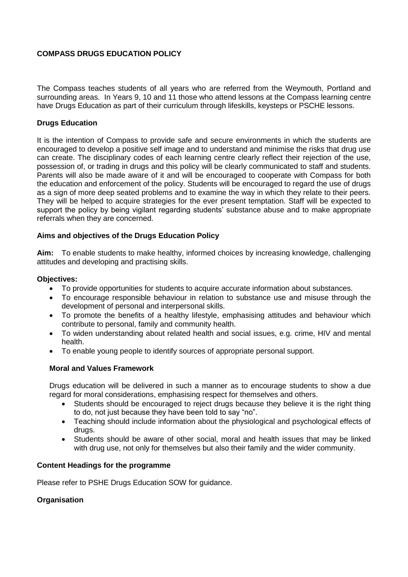# **COMPASS DRUGS EDUCATION POLICY**

The Compass teaches students of all years who are referred from the Weymouth, Portland and surrounding areas. In Years 9, 10 and 11 those who attend lessons at the Compass learning centre have Drugs Education as part of their curriculum through lifeskills, keysteps or PSCHE lessons.

## **Drugs Education**

It is the intention of Compass to provide safe and secure environments in which the students are encouraged to develop a positive self image and to understand and minimise the risks that drug use can create. The disciplinary codes of each learning centre clearly reflect their rejection of the use, possession of, or trading in drugs and this policy will be clearly communicated to staff and students. Parents will also be made aware of it and will be encouraged to cooperate with Compass for both the education and enforcement of the policy. Students will be encouraged to regard the use of drugs as a sign of more deep seated problems and to examine the way in which they relate to their peers. They will be helped to acquire strategies for the ever present temptation. Staff will be expected to support the policy by being vigilant regarding students' substance abuse and to make appropriate referrals when they are concerned.

#### **Aims and objectives of the Drugs Education Policy**

**Aim:** To enable students to make healthy, informed choices by increasing knowledge, challenging attitudes and developing and practising skills.

#### **Objectives:**

- To provide opportunities for students to acquire accurate information about substances.
- To encourage responsible behaviour in relation to substance use and misuse through the development of personal and interpersonal skills.
- To promote the benefits of a healthy lifestyle, emphasising attitudes and behaviour which contribute to personal, family and community health.
- To widen understanding about related health and social issues, e.g. crime, HIV and mental health.
- To enable young people to identify sources of appropriate personal support.

## **Moral and Values Framework**

Drugs education will be delivered in such a manner as to encourage students to show a due regard for moral considerations, emphasising respect for themselves and others.

- Students should be encouraged to reject drugs because they believe it is the right thing to do, not just because they have been told to say "no".
- Teaching should include information about the physiological and psychological effects of drugs.
- Students should be aware of other social, moral and health issues that may be linked with drug use, not only for themselves but also their family and the wider community.

#### **Content Headings for the programme**

Please refer to PSHE Drugs Education SOW for guidance.

## **Organisation**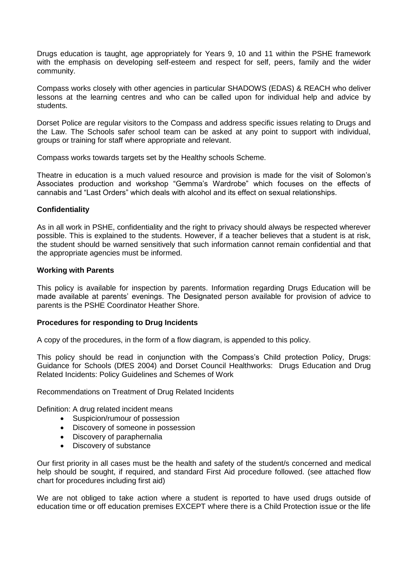Drugs education is taught, age appropriately for Years 9, 10 and 11 within the PSHE framework with the emphasis on developing self-esteem and respect for self, peers, family and the wider community.

Compass works closely with other agencies in particular SHADOWS (EDAS) & REACH who deliver lessons at the learning centres and who can be called upon for individual help and advice by students.

Dorset Police are regular visitors to the Compass and address specific issues relating to Drugs and the Law. The Schools safer school team can be asked at any point to support with individual, groups or training for staff where appropriate and relevant.

Compass works towards targets set by the Healthy schools Scheme.

Theatre in education is a much valued resource and provision is made for the visit of Solomon's Associates production and workshop "Gemma's Wardrobe" which focuses on the effects of cannabis and "Last Orders" which deals with alcohol and its effect on sexual relationships.

## **Confidentiality**

As in all work in PSHE, confidentiality and the right to privacy should always be respected wherever possible. This is explained to the students. However, if a teacher believes that a student is at risk, the student should be warned sensitively that such information cannot remain confidential and that the appropriate agencies must be informed.

#### **Working with Parents**

This policy is available for inspection by parents. Information regarding Drugs Education will be made available at parents' evenings. The Designated person available for provision of advice to parents is the PSHE Coordinator Heather Shore.

## **Procedures for responding to Drug Incidents**

A copy of the procedures, in the form of a flow diagram, is appended to this policy.

This policy should be read in conjunction with the Compass's Child protection Policy, Drugs: Guidance for Schools (DfES 2004) and Dorset Council Healthworks: Drugs Education and Drug Related Incidents: Policy Guidelines and Schemes of Work

Recommendations on Treatment of Drug Related Incidents

Definition: A drug related incident means

- Suspicion/rumour of possession
- Discovery of someone in possession
- Discovery of paraphernalia
- Discovery of substance

Our first priority in all cases must be the health and safety of the student/s concerned and medical help should be sought, if required, and standard First Aid procedure followed. (see attached flow chart for procedures including first aid)

We are not obliged to take action where a student is reported to have used drugs outside of education time or off education premises EXCEPT where there is a Child Protection issue or the life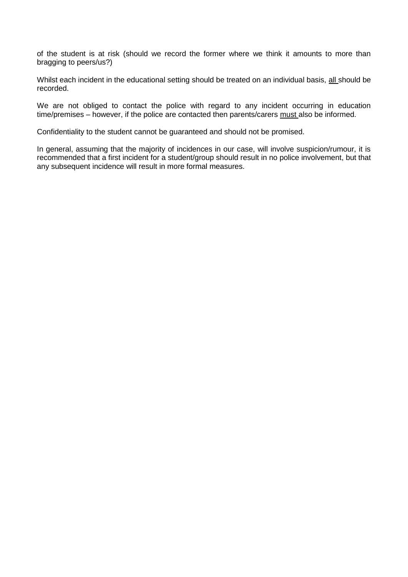of the student is at risk (should we record the former where we think it amounts to more than bragging to peers/us?)

Whilst each incident in the educational setting should be treated on an individual basis, all should be recorded.

We are not obliged to contact the police with regard to any incident occurring in education time/premises – however, if the police are contacted then parents/carers must also be informed.

Confidentiality to the student cannot be guaranteed and should not be promised.

In general, assuming that the majority of incidences in our case, will involve suspicion/rumour, it is recommended that a first incident for a student/group should result in no police involvement, but that any subsequent incidence will result in more formal measures.